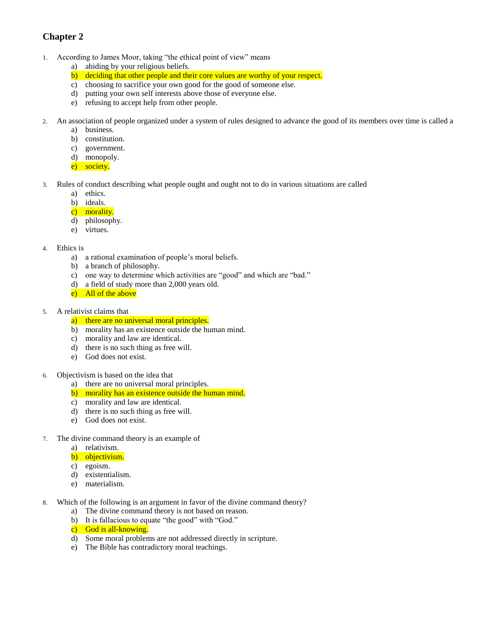## **Chapter 2**

- 1. According to James Moor, taking "the ethical point of view" means
	- a) abiding by your religious beliefs.
	- b) deciding that other people and their core values are worthy of your respect.
	- c) choosing to sacrifice your own good for the good of someone else.
	- d) putting your own self interests above those of everyone else.
	- e) refusing to accept help from other people.
- 2. An association of people organized under a system of rules designed to advance the good of its members over time is called a
	- a) business.
	- b) constitution.
	- c) government.
	- d) monopoly.
	- e) society.
- 3. Rules of conduct describing what people ought and ought not to do in various situations are called
	- a) ethics.
	- b) ideals.
	- c) morality.
	- d) philosophy.
	- e) virtues.
- 4. Ethics is
	- a) a rational examination of people's moral beliefs.
	- b) a branch of philosophy.
	- c) one way to determine which activities are "good" and which are "bad."
	- d) a field of study more than 2,000 years old.
	- e) All of the above
- 5. A relativist claims that
	- a) there are no universal moral principles.
	- b) morality has an existence outside the human mind.
	- c) morality and law are identical.
	- d) there is no such thing as free will.
	- e) God does not exist.
- 6. Objectivism is based on the idea that
	- a) there are no universal moral principles.
	- b) morality has an existence outside the human mind.
	- c) morality and law are identical.
	- d) there is no such thing as free will.
	- e) God does not exist.
- 7. The divine command theory is an example of
	- a) relativism.
	- b) objectivism.
	- c) egoism.
	- d) existentialism.
	- e) materialism.
- 8. Which of the following is an argument in favor of the divine command theory?
	- a) The divine command theory is not based on reason.
	- b) It is fallacious to equate "the good" with "God."
	- c) God is all-knowing.
	- d) Some moral problems are not addressed directly in scripture.
	- e) The Bible has contradictory moral teachings.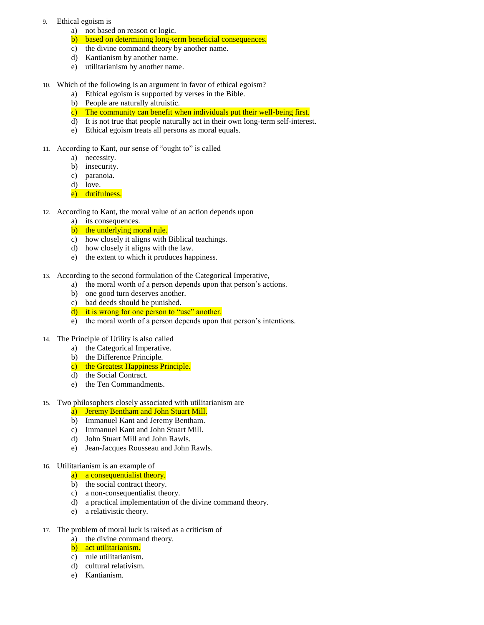- 9. Ethical egoism is
	- a) not based on reason or logic.
	- b) based on determining long-term beneficial consequences.
	- c) the divine command theory by another name.
	- d) Kantianism by another name.
	- e) utilitarianism by another name.
- 10. Which of the following is an argument in favor of ethical egoism?
	- a) Ethical egoism is supported by verses in the Bible.
	- b) People are naturally altruistic.
	- c) The community can benefit when individuals put their well-being first.
	- d) It is not true that people naturally act in their own long-term self-interest.
	- e) Ethical egoism treats all persons as moral equals.
- 11. According to Kant, our sense of "ought to" is called
	- a) necessity.
	- b) insecurity.
	- c) paranoia.
	- d) love.
	- e) dutifulness.
- 12. According to Kant, the moral value of an action depends upon
	- a) its consequences.
	- b) the underlying moral rule.
	- c) how closely it aligns with Biblical teachings.
	- d) how closely it aligns with the law.
	- e) the extent to which it produces happiness.
- 13. According to the second formulation of the Categorical Imperative,
	- a) the moral worth of a person depends upon that person's actions.
	- b) one good turn deserves another.
	- c) bad deeds should be punished.
	- d) it is wrong for one person to "use" another.
	- e) the moral worth of a person depends upon that person's intentions.
- 14. The Principle of Utility is also called
	- a) the Categorical Imperative.
	- b) the Difference Principle.
	- c) the Greatest Happiness Principle.
	- d) the Social Contract.
	- e) the Ten Commandments.
- 15. Two philosophers closely associated with utilitarianism are
	- a) Jeremy Bentham and John Stuart Mill.
	- b) Immanuel Kant and Jeremy Bentham.
	- c) Immanuel Kant and John Stuart Mill.
	- d) John Stuart Mill and John Rawls.
	- e) Jean-Jacques Rousseau and John Rawls.

## 16. Utilitarianism is an example of

- a) a consequentialist theory.
- b) the social contract theory.
- c) a non-consequentialist theory.
- d) a practical implementation of the divine command theory.
- e) a relativistic theory.
- 17. The problem of moral luck is raised as a criticism of
	- a) the divine command theory.
	- b) act utilitarianism.
	- c) rule utilitarianism.
	- d) cultural relativism.
	- e) Kantianism.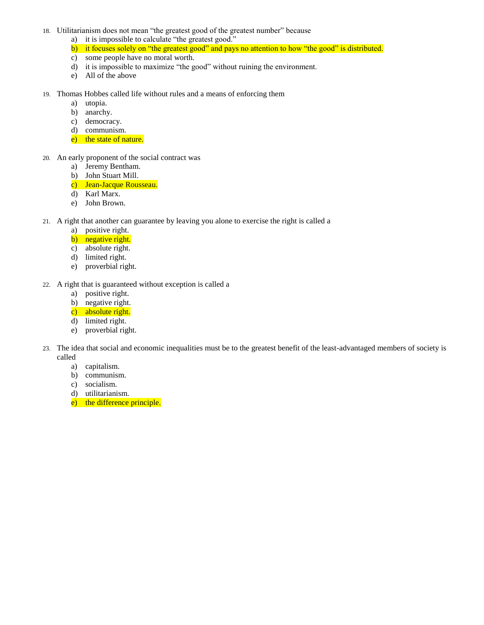- 18. Utilitarianism does not mean "the greatest good of the greatest number" because
	- a) it is impossible to calculate "the greatest good."
	- b) it focuses solely on "the greatest good" and pays no attention to how "the good" is distributed.
	- c) some people have no moral worth.
	- d) it is impossible to maximize "the good" without ruining the environment.
	- e) All of the above
- 19. Thomas Hobbes called life without rules and a means of enforcing them
	- a) utopia.
	- b) anarchy.
	- c) democracy.
	- d) communism.
	- e) the state of nature.
- 20. An early proponent of the social contract was
	- a) Jeremy Bentham.
	- b) John Stuart Mill.
	- c) Jean-Jacque Rousseau.
	- d) Karl Marx.
	- e) John Brown.
- 21. A right that another can guarantee by leaving you alone to exercise the right is called a
	- a) positive right.
	- b) negative right.
	- c) absolute right.
	- d) limited right.
	- e) proverbial right.
- 22. A right that is guaranteed without exception is called a
	- a) positive right.
	- b) negative right.
	- c) absolute right.
	- d) limited right.
	- e) proverbial right.
- 23. The idea that social and economic inequalities must be to the greatest benefit of the least-advantaged members of society is called
	- a) capitalism.
	- b) communism.
	- c) socialism.
	- d) utilitarianism.
	- e) the difference principle.